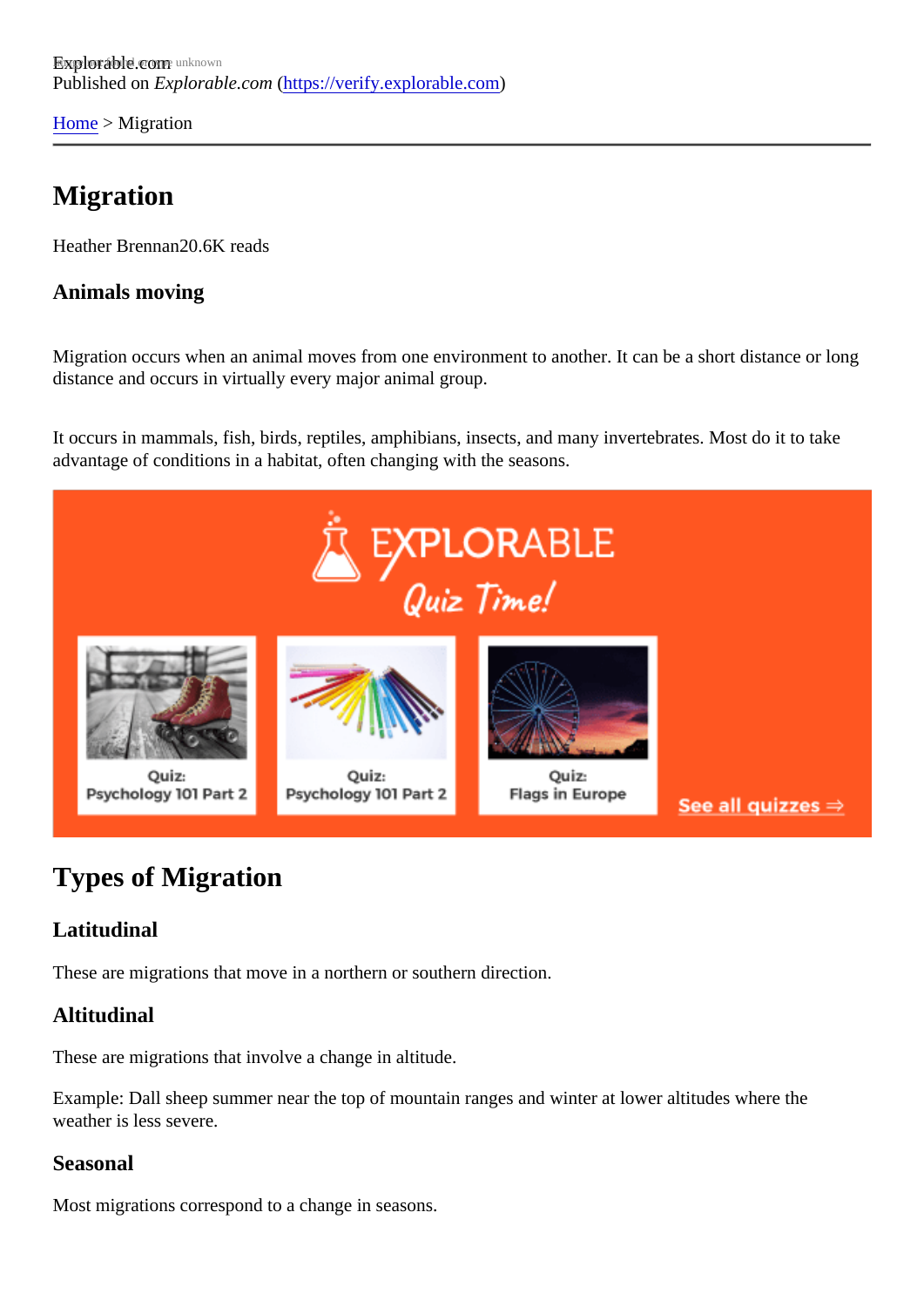[Home](https://verify.explorable.com/)> Migration

## Migration

Heather Brennan0.6K reads

Animals moving

Migration occurs when an animal moves from one environment to another. It can be a short distance or long distance and occurs in virtually every major animal group.

It occurs in mammals, fish, birds, reptiles, amphibians, insects, and many invertebrates. Most do it to take advantage of conditions in a habitat, often changing with the seasons.

# Types of Migration

### Latitudinal

These are migrations that move in a northern or southern direction.

### Altitudinal

These are migrations that involve a change in altitude.

Example: Dall sheep summer near the top of mountain ranges and winter at lower altitudes where the weather is less severe.

#### Seasonal

Most migrations correspond to a change in seasons.